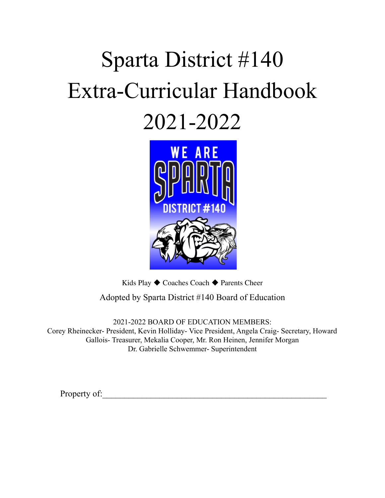# Sparta District #140 Extra-Curricular Handbook 2021-2022



Kids Play ◆ Coaches Coach ◆ Parents Cheer

Adopted by Sparta District #140 Board of Education

2021-2022 BOARD OF EDUCATION MEMBERS: Corey Rheinecker- President, Kevin Holliday- Vice President, Angela Craig- Secretary, Howard Gallois- Treasurer, Mekalia Cooper, Mr. Ron Heinen, Jennifer Morgan Dr. Gabrielle Schwemmer- Superintendent

Property of: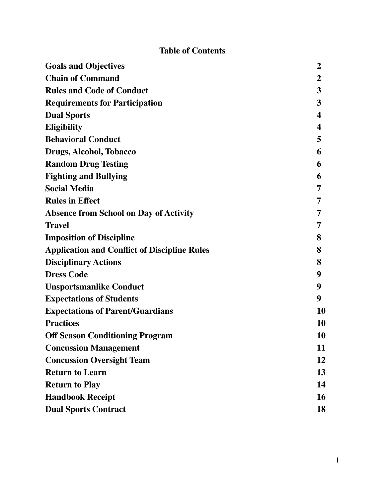# **Table of Contents**

| <b>Goals and Objectives</b>                         | $\boldsymbol{2}$ |
|-----------------------------------------------------|------------------|
| <b>Chain of Command</b>                             | $\boldsymbol{2}$ |
| <b>Rules and Code of Conduct</b>                    | 3                |
| <b>Requirements for Participation</b>               | 3                |
| <b>Dual Sports</b>                                  | 4                |
| <b>Eligibility</b>                                  | 4                |
| <b>Behavioral Conduct</b>                           | 5                |
| Drugs, Alcohol, Tobacco                             | 6                |
| <b>Random Drug Testing</b>                          | 6                |
| <b>Fighting and Bullying</b>                        | 6                |
| <b>Social Media</b>                                 | 7                |
| <b>Rules in Effect</b>                              | 7                |
| <b>Absence from School on Day of Activity</b>       | 7                |
| <b>Travel</b>                                       | 7                |
| <b>Imposition of Discipline</b>                     | 8                |
| <b>Application and Conflict of Discipline Rules</b> | 8                |
| <b>Disciplinary Actions</b>                         | 8                |
| <b>Dress Code</b>                                   | 9                |
| <b>Unsportsmanlike Conduct</b>                      | 9                |
| <b>Expectations of Students</b>                     | 9                |
| <b>Expectations of Parent/Guardians</b>             | 10               |
| <b>Practices</b>                                    | 10               |
| <b>Off Season Conditioning Program</b>              | 10               |
| <b>Concussion Management</b>                        | 11               |
| <b>Concussion Oversight Team</b>                    | 12               |
| <b>Return to Learn</b>                              | 13               |
| <b>Return to Play</b>                               | 14               |
| <b>Handbook Receipt</b>                             | 16               |
| <b>Dual Sports Contract</b>                         | 18               |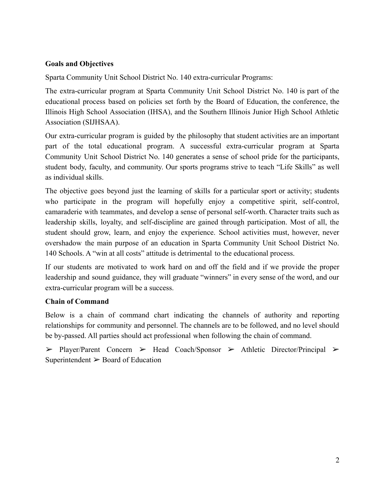## **Goals and Objectives**

Sparta Community Unit School District No. 140 extra-curricular Programs:

The extra-curricular program at Sparta Community Unit School District No. 140 is part of the educational process based on policies set forth by the Board of Education, the conference, the Illinois High School Association (IHSA), and the Southern Illinois Junior High School Athletic Association (SIJHSAA).

Our extra-curricular program is guided by the philosophy that student activities are an important part of the total educational program. A successful extra-curricular program at Sparta Community Unit School District No. 140 generates a sense of school pride for the participants, student body, faculty, and community. Our sports programs strive to teach "Life Skills" as well as individual skills.

The objective goes beyond just the learning of skills for a particular sport or activity; students who participate in the program will hopefully enjoy a competitive spirit, self-control, camaraderie with teammates, and develop a sense of personal self-worth. Character traits such as leadership skills, loyalty, and self-discipline are gained through participation. Most of all, the student should grow, learn, and enjoy the experience. School activities must, however, never overshadow the main purpose of an education in Sparta Community Unit School District No. 140 Schools. A "win at all costs" attitude is detrimental to the educational process.

If our students are motivated to work hard on and off the field and if we provide the proper leadership and sound guidance, they will graduate "winners" in every sense of the word, and our extra-curricular program will be a success.

## **Chain of Command**

Below is a chain of command chart indicating the channels of authority and reporting relationships for community and personnel. The channels are to be followed, and no level should be by-passed. All parties should act professional when following the chain of command.

➢ Player/Parent Concern ➢ Head Coach/Sponsor ➢ Athletic Director/Principal ➢ Superintendent  $\geq$  Board of Education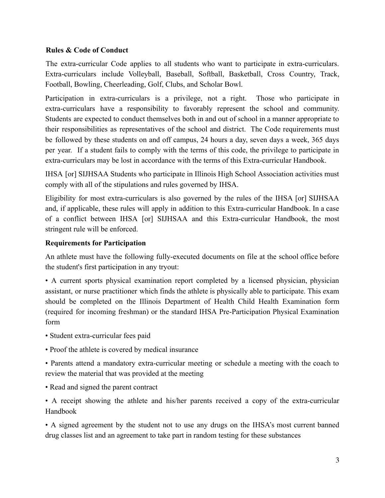#### **Rules & Code of Conduct**

The extra-curricular Code applies to all students who want to participate in extra-curriculars. Extra-curriculars include Volleyball, Baseball, Softball, Basketball, Cross Country, Track, Football, Bowling, Cheerleading, Golf, Clubs, and Scholar Bowl.

Participation in extra-curriculars is a privilege, not a right. Those who participate in extra-curriculars have a responsibility to favorably represent the school and community. Students are expected to conduct themselves both in and out of school in a manner appropriate to their responsibilities as representatives of the school and district. The Code requirements must be followed by these students on and off campus, 24 hours a day, seven days a week, 365 days per year. If a student fails to comply with the terms of this code, the privilege to participate in extra-curriculars may be lost in accordance with the terms of this Extra-curricular Handbook.

IHSA [or] SIJHSAA Students who participate in Illinois High School Association activities must comply with all of the stipulations and rules governed by IHSA.

Eligibility for most extra-curriculars is also governed by the rules of the IHSA [or] SIJHSAA and, if applicable, these rules will apply in addition to this Extra-curricular Handbook. In a case of a conflict between IHSA [or] SIJHSAA and this Extra-curricular Handbook, the most stringent rule will be enforced.

#### **Requirements for Participation**

An athlete must have the following fully-executed documents on file at the school office before the student's first participation in any tryout:

• A current sports physical examination report completed by a licensed physician, physician assistant, or nurse practitioner which finds the athlete is physically able to participate. This exam should be completed on the Illinois Department of Health Child Health Examination form (required for incoming freshman) or the standard IHSA Pre-Participation Physical Examination form

- Student extra-curricular fees paid
- Proof the athlete is covered by medical insurance

• Parents attend a mandatory extra-curricular meeting or schedule a meeting with the coach to review the material that was provided at the meeting

• Read and signed the parent contract

• A receipt showing the athlete and his/her parents received a copy of the extra-curricular Handbook

• A signed agreement by the student not to use any drugs on the IHSA's most current banned drug classes list and an agreement to take part in random testing for these substances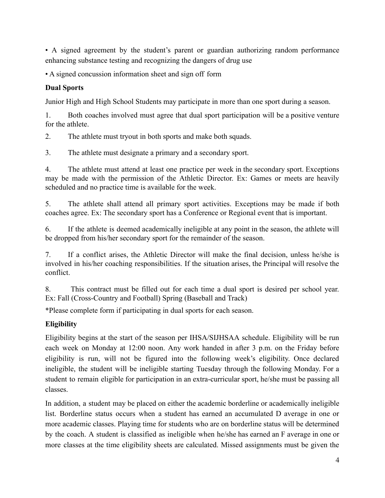• A signed agreement by the student's parent or guardian authorizing random performance enhancing substance testing and recognizing the dangers of drug use

• A signed concussion information sheet and sign off form

## **Dual Sports**

Junior High and High School Students may participate in more than one sport during a season.

1. Both coaches involved must agree that dual sport participation will be a positive venture for the athlete.

2. The athlete must tryout in both sports and make both squads.

3. The athlete must designate a primary and a secondary sport.

4. The athlete must attend at least one practice per week in the secondary sport. Exceptions may be made with the permission of the Athletic Director. Ex: Games or meets are heavily scheduled and no practice time is available for the week.

5. The athlete shall attend all primary sport activities. Exceptions may be made if both coaches agree. Ex: The secondary sport has a Conference or Regional event that is important.

6. If the athlete is deemed academically ineligible at any point in the season, the athlete will be dropped from his/her secondary sport for the remainder of the season.

7. If a conflict arises, the Athletic Director will make the final decision, unless he/she is involved in his/her coaching responsibilities. If the situation arises, the Principal will resolve the conflict.

8. This contract must be filled out for each time a dual sport is desired per school year. Ex: Fall (Cross-Country and Football) Spring (Baseball and Track)

\*Please complete form if participating in dual sports for each season.

## **Eligibility**

Eligibility begins at the start of the season per IHSA/SIJHSAA schedule. Eligibility will be run each week on Monday at 12:00 noon. Any work handed in after 3 p.m. on the Friday before eligibility is run, will not be figured into the following week's eligibility. Once declared ineligible, the student will be ineligible starting Tuesday through the following Monday. For a student to remain eligible for participation in an extra-curricular sport, he/she must be passing all classes.

In addition, a student may be placed on either the academic borderline or academically ineligible list. Borderline status occurs when a student has earned an accumulated D average in one or more academic classes. Playing time for students who are on borderline status will be determined by the coach. A student is classified as ineligible when he/she has earned an F average in one or more classes at the time eligibility sheets are calculated. Missed assignments must be given the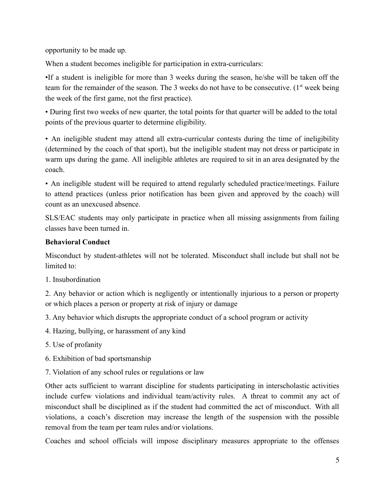opportunity to be made up.

When a student becomes ineligible for participation in extra-curriculars:

•If a student is ineligible for more than 3 weeks during the season, he/she will be taken off the team for the remainder of the season. The 3 weeks do not have to be consecutive.  $(1<sup>st</sup>$  week being the week of the first game, not the first practice).

• During first two weeks of new quarter, the total points for that quarter will be added to the total points of the previous quarter to determine eligibility.

• An ineligible student may attend all extra-curricular contests during the time of ineligibility (determined by the coach of that sport), but the ineligible student may not dress or participate in warm ups during the game. All ineligible athletes are required to sit in an area designated by the coach.

• An ineligible student will be required to attend regularly scheduled practice/meetings. Failure to attend practices (unless prior notification has been given and approved by the coach) will count as an unexcused absence.

SLS/EAC students may only participate in practice when all missing assignments from failing classes have been turned in.

## **Behavioral Conduct**

Misconduct by student-athletes will not be tolerated. Misconduct shall include but shall not be limited to:

1. Insubordination

2. Any behavior or action which is negligently or intentionally injurious to a person or property or which places a person or property at risk of injury or damage

3. Any behavior which disrupts the appropriate conduct of a school program or activity

- 4. Hazing, bullying, or harassment of any kind
- 5. Use of profanity
- 6. Exhibition of bad sportsmanship
- 7. Violation of any school rules or regulations or law

Other acts sufficient to warrant discipline for students participating in interscholastic activities include curfew violations and individual team/activity rules. A threat to commit any act of misconduct shall be disciplined as if the student had committed the act of misconduct. With all violations, a coach's discretion may increase the length of the suspension with the possible removal from the team per team rules and/or violations.

Coaches and school officials will impose disciplinary measures appropriate to the offenses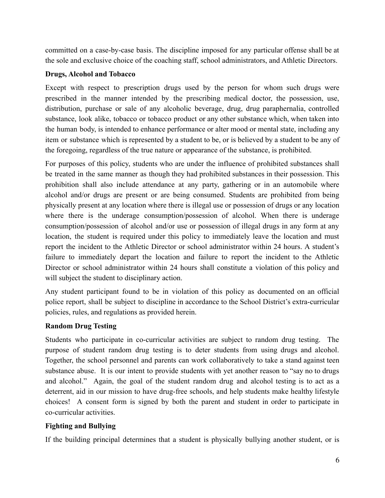committed on a case-by-case basis. The discipline imposed for any particular offense shall be at the sole and exclusive choice of the coaching staff, school administrators, and Athletic Directors.

## **Drugs, Alcohol and Tobacco**

Except with respect to prescription drugs used by the person for whom such drugs were prescribed in the manner intended by the prescribing medical doctor, the possession, use, distribution, purchase or sale of any alcoholic beverage, drug, drug paraphernalia, controlled substance, look alike, tobacco or tobacco product or any other substance which, when taken into the human body, is intended to enhance performance or alter mood or mental state, including any item or substance which is represented by a student to be, or is believed by a student to be any of the foregoing, regardless of the true nature or appearance of the substance, is prohibited.

For purposes of this policy, students who are under the influence of prohibited substances shall be treated in the same manner as though they had prohibited substances in their possession. This prohibition shall also include attendance at any party, gathering or in an automobile where alcohol and/or drugs are present or are being consumed. Students are prohibited from being physically present at any location where there is illegal use or possession of drugs or any location where there is the underage consumption/possession of alcohol. When there is underage consumption/possession of alcohol and/or use or possession of illegal drugs in any form at any location, the student is required under this policy to immediately leave the location and must report the incident to the Athletic Director or school administrator within 24 hours. A student's failure to immediately depart the location and failure to report the incident to the Athletic Director or school administrator within 24 hours shall constitute a violation of this policy and will subject the student to disciplinary action.

Any student participant found to be in violation of this policy as documented on an official police report, shall be subject to discipline in accordance to the School District's extra-curricular policies, rules, and regulations as provided herein.

## **Random Drug Testing**

Students who participate in co-curricular activities are subject to random drug testing. The purpose of student random drug testing is to deter students from using drugs and alcohol. Together, the school personnel and parents can work collaboratively to take a stand against teen substance abuse. It is our intent to provide students with yet another reason to "say no to drugs and alcohol." Again, the goal of the student random drug and alcohol testing is to act as a deterrent, aid in our mission to have drug-free schools, and help students make healthy lifestyle choices! A consent form is signed by both the parent and student in order to participate in co-curricular activities.

#### **Fighting and Bullying**

If the building principal determines that a student is physically bullying another student, or is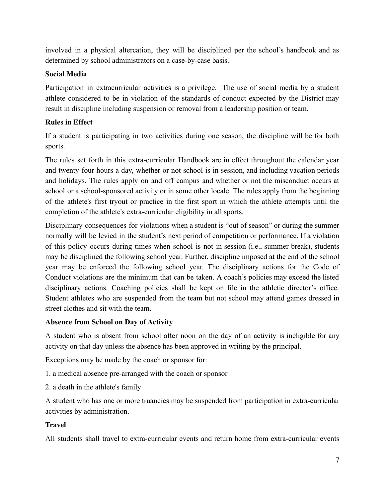involved in a physical altercation, they will be disciplined per the school's handbook and as determined by school administrators on a case-by-case basis.

## **Social Media**

Participation in extracurricular activities is a privilege. The use of social media by a student athlete considered to be in violation of the standards of conduct expected by the District may result in discipline including suspension or removal from a leadership position or team.

## **Rules in Effect**

If a student is participating in two activities during one season, the discipline will be for both sports.

The rules set forth in this extra-curricular Handbook are in effect throughout the calendar year and twenty-four hours a day, whether or not school is in session, and including vacation periods and holidays. The rules apply on and off campus and whether or not the misconduct occurs at school or a school-sponsored activity or in some other locale. The rules apply from the beginning of the athlete's first tryout or practice in the first sport in which the athlete attempts until the completion of the athlete's extra-curricular eligibility in all sports.

Disciplinary consequences for violations when a student is "out of season" or during the summer normally will be levied in the student's next period of competition or performance. If a violation of this policy occurs during times when school is not in session (i.e., summer break), students may be disciplined the following school year. Further, discipline imposed at the end of the school year may be enforced the following school year. The disciplinary actions for the Code of Conduct violations are the minimum that can be taken. A coach's policies may exceed the listed disciplinary actions. Coaching policies shall be kept on file in the athletic director's office. Student athletes who are suspended from the team but not school may attend games dressed in street clothes and sit with the team.

#### **Absence from School on Day of Activity**

A student who is absent from school after noon on the day of an activity is ineligible for any activity on that day unless the absence has been approved in writing by the principal.

Exceptions may be made by the coach or sponsor for:

- 1. a medical absence pre-arranged with the coach or sponsor
- 2. a death in the athlete's family

A student who has one or more truancies may be suspended from participation in extra-curricular activities by administration.

## **Travel**

All students shall travel to extra-curricular events and return home from extra-curricular events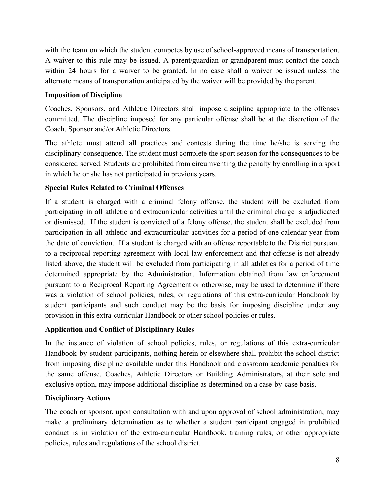with the team on which the student competes by use of school-approved means of transportation. A waiver to this rule may be issued. A parent/guardian or grandparent must contact the coach within 24 hours for a waiver to be granted. In no case shall a waiver be issued unless the alternate means of transportation anticipated by the waiver will be provided by the parent.

## **Imposition of Discipline**

Coaches, Sponsors, and Athletic Directors shall impose discipline appropriate to the offenses committed. The discipline imposed for any particular offense shall be at the discretion of the Coach, Sponsor and/or Athletic Directors.

The athlete must attend all practices and contests during the time he/she is serving the disciplinary consequence. The student must complete the sport season for the consequences to be considered served. Students are prohibited from circumventing the penalty by enrolling in a sport in which he or she has not participated in previous years.

## **Special Rules Related to Criminal Offenses**

If a student is charged with a criminal felony offense, the student will be excluded from participating in all athletic and extracurricular activities until the criminal charge is adjudicated or dismissed. If the student is convicted of a felony offense, the student shall be excluded from participation in all athletic and extracurricular activities for a period of one calendar year from the date of conviction. If a student is charged with an offense reportable to the District pursuant to a reciprocal reporting agreement with local law enforcement and that offense is not already listed above, the student will be excluded from participating in all athletics for a period of time determined appropriate by the Administration. Information obtained from law enforcement pursuant to a Reciprocal Reporting Agreement or otherwise, may be used to determine if there was a violation of school policies, rules, or regulations of this extra-curricular Handbook by student participants and such conduct may be the basis for imposing discipline under any provision in this extra-curricular Handbook or other school policies or rules.

#### **Application and Conflict of Disciplinary Rules**

In the instance of violation of school policies, rules, or regulations of this extra-curricular Handbook by student participants, nothing herein or elsewhere shall prohibit the school district from imposing discipline available under this Handbook and classroom academic penalties for the same offense. Coaches, Athletic Directors or Building Administrators, at their sole and exclusive option, may impose additional discipline as determined on a case-by-case basis.

#### **Disciplinary Actions**

The coach or sponsor, upon consultation with and upon approval of school administration, may make a preliminary determination as to whether a student participant engaged in prohibited conduct is in violation of the extra-curricular Handbook, training rules, or other appropriate policies, rules and regulations of the school district.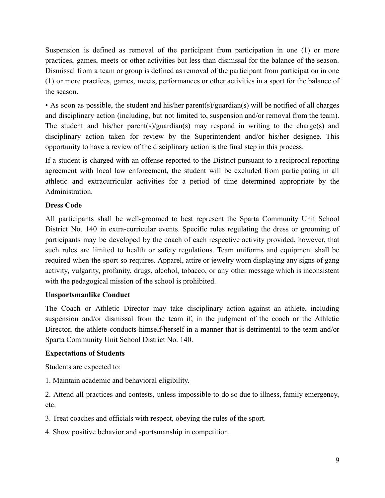Suspension is defined as removal of the participant from participation in one (1) or more practices, games, meets or other activities but less than dismissal for the balance of the season. Dismissal from a team or group is defined as removal of the participant from participation in one (1) or more practices, games, meets, performances or other activities in a sport for the balance of the season.

• As soon as possible, the student and his/her parent(s)/guardian(s) will be notified of all charges and disciplinary action (including, but not limited to, suspension and/or removal from the team). The student and his/her parent(s)/guardian(s) may respond in writing to the charge(s) and disciplinary action taken for review by the Superintendent and/or his/her designee. This opportunity to have a review of the disciplinary action is the final step in this process.

If a student is charged with an offense reported to the District pursuant to a reciprocal reporting agreement with local law enforcement, the student will be excluded from participating in all athletic and extracurricular activities for a period of time determined appropriate by the Administration.

## **Dress Code**

All participants shall be well-groomed to best represent the Sparta Community Unit School District No. 140 in extra-curricular events. Specific rules regulating the dress or grooming of participants may be developed by the coach of each respective activity provided, however, that such rules are limited to health or safety regulations. Team uniforms and equipment shall be required when the sport so requires. Apparel, attire or jewelry worn displaying any signs of gang activity, vulgarity, profanity, drugs, alcohol, tobacco, or any other message which is inconsistent with the pedagogical mission of the school is prohibited.

## **Unsportsmanlike Conduct**

The Coach or Athletic Director may take disciplinary action against an athlete, including suspension and/or dismissal from the team if, in the judgment of the coach or the Athletic Director, the athlete conducts himself/herself in a manner that is detrimental to the team and/or Sparta Community Unit School District No. 140.

## **Expectations of Students**

Students are expected to:

1. Maintain academic and behavioral eligibility.

2. Attend all practices and contests, unless impossible to do so due to illness, family emergency, etc.

3. Treat coaches and officials with respect, obeying the rules of the sport.

4. Show positive behavior and sportsmanship in competition.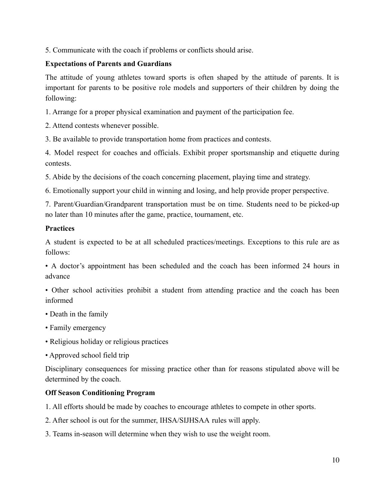5. Communicate with the coach if problems or conflicts should arise.

## **Expectations of Parents and Guardians**

The attitude of young athletes toward sports is often shaped by the attitude of parents. It is important for parents to be positive role models and supporters of their children by doing the following:

1. Arrange for a proper physical examination and payment of the participation fee.

2. Attend contests whenever possible.

3. Be available to provide transportation home from practices and contests.

4. Model respect for coaches and officials. Exhibit proper sportsmanship and etiquette during contests.

5. Abide by the decisions of the coach concerning placement, playing time and strategy.

6. Emotionally support your child in winning and losing, and help provide proper perspective.

7. Parent/Guardian/Grandparent transportation must be on time. Students need to be picked-up no later than 10 minutes after the game, practice, tournament, etc.

#### **Practices**

A student is expected to be at all scheduled practices/meetings. Exceptions to this rule are as follows:

• A doctor's appointment has been scheduled and the coach has been informed 24 hours in advance

• Other school activities prohibit a student from attending practice and the coach has been informed

- Death in the family
- Family emergency
- Religious holiday or religious practices
- Approved school field trip

Disciplinary consequences for missing practice other than for reasons stipulated above will be determined by the coach.

## **Off Season Conditioning Program**

1. All efforts should be made by coaches to encourage athletes to compete in other sports.

2. After school is out for the summer, IHSA/SIJHSAA rules will apply.

3. Teams in-season will determine when they wish to use the weight room.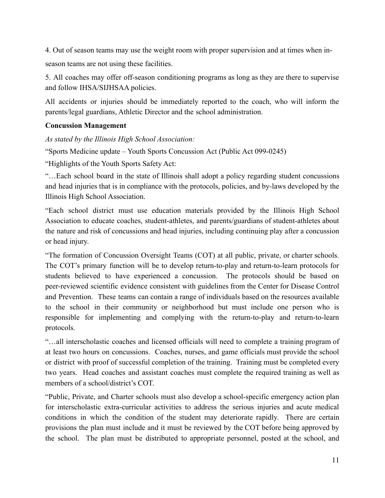4. Out of season teams may use the weight room with proper supervision and at times when in-

season teams are not using these facilities.

5. All coaches may offer off-season conditioning programs as long as they are there to supervise and follow IHSA/SIJHSAA policies.

All accidents or injuries should be immediately reported to the coach, who will inform the parents/legal guardians, Athletic Director and the school administration.

#### **Concussion Management**

*As stated by the Illinois High School Association:*

"Sports Medicine update – Youth Sports Concussion Act (Public Act 099-0245)

"Highlights of the Youth Sports Safety Act:

"…Each school board in the state of Illinois shall adopt a policy regarding student concussions and head injuries that is in compliance with the protocols, policies, and by-laws developed by the Illinois High School Association.

"Each school district must use education materials provided by the Illinois High School Association to educate coaches, student-athletes, and parents/guardians of student-athletes about the nature and risk of concussions and head injuries, including continuing play after a concussion or head injury.

"The formation of Concussion Oversight Teams (COT) at all public, private, or charter schools. The COT's primary function will be to develop return-to-play and return-to-learn protocols for students believed to have experienced a concussion. The protocols should be based on peer-reviewed scientific evidence consistent with guidelines from the Center for Disease Control and Prevention. These teams can contain a range of individuals based on the resources available to the school in their community or neighborhood but must include one person who is responsible for implementing and complying with the return-to-play and return-to-learn protocols.

"…all interscholastic coaches and licensed officials will need to complete a training program of at least two hours on concussions. Coaches, nurses, and game officials must provide the school or district with proof of successful completion of the training. Training must be completed every two years. Head coaches and assistant coaches must complete the required training as well as members of a school/district's COT.

"Public, Private, and Charter schools must also develop a school-specific emergency action plan for interscholastic extra-curricular activities to address the serious injuries and acute medical conditions in which the condition of the student may deteriorate rapidly. There are certain provisions the plan must include and it must be reviewed by the COT before being approved by the school. The plan must be distributed to appropriate personnel, posted at the school, and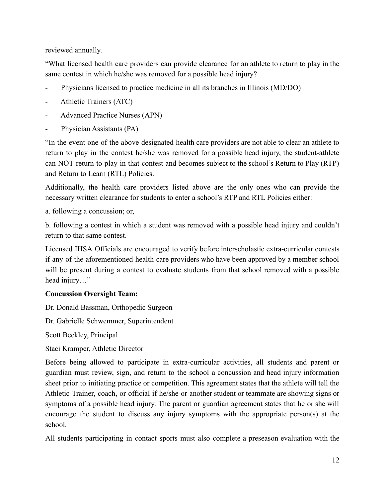reviewed annually.

"What licensed health care providers can provide clearance for an athlete to return to play in the same contest in which he/she was removed for a possible head injury?

- Physicians licensed to practice medicine in all its branches in Illinois (MD/DO)
- Athletic Trainers (ATC)
- Advanced Practice Nurses (APN)
- Physician Assistants (PA)

"In the event one of the above designated health care providers are not able to clear an athlete to return to play in the contest he/she was removed for a possible head injury, the student-athlete can NOT return to play in that contest and becomes subject to the school's Return to Play (RTP) and Return to Learn (RTL) Policies.

Additionally, the health care providers listed above are the only ones who can provide the necessary written clearance for students to enter a school's RTP and RTL Policies either:

a. following a concussion; or,

b. following a contest in which a student was removed with a possible head injury and couldn't return to that same contest.

Licensed IHSA Officials are encouraged to verify before interscholastic extra-curricular contests if any of the aforementioned health care providers who have been approved by a member school will be present during a contest to evaluate students from that school removed with a possible head injury…"

#### **Concussion Oversight Team:**

Dr. Donald Bassman, Orthopedic Surgeon

Dr. Gabrielle Schwemmer, Superintendent

Scott Beckley, Principal

Staci Kramper, Athletic Director

Before being allowed to participate in extra-curricular activities, all students and parent or guardian must review, sign, and return to the school a concussion and head injury information sheet prior to initiating practice or competition. This agreement states that the athlete will tell the Athletic Trainer, coach, or official if he/she or another student or teammate are showing signs or symptoms of a possible head injury. The parent or guardian agreement states that he or she will encourage the student to discuss any injury symptoms with the appropriate person(s) at the school.

All students participating in contact sports must also complete a preseason evaluation with the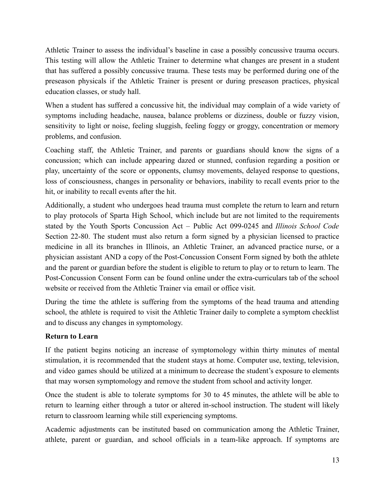Athletic Trainer to assess the individual's baseline in case a possibly concussive trauma occurs. This testing will allow the Athletic Trainer to determine what changes are present in a student that has suffered a possibly concussive trauma. These tests may be performed during one of the preseason physicals if the Athletic Trainer is present or during preseason practices, physical education classes, or study hall.

When a student has suffered a concussive hit, the individual may complain of a wide variety of symptoms including headache, nausea, balance problems or dizziness, double or fuzzy vision, sensitivity to light or noise, feeling sluggish, feeling foggy or groggy, concentration or memory problems, and confusion.

Coaching staff, the Athletic Trainer, and parents or guardians should know the signs of a concussion; which can include appearing dazed or stunned, confusion regarding a position or play, uncertainty of the score or opponents, clumsy movements, delayed response to questions, loss of consciousness, changes in personality or behaviors, inability to recall events prior to the hit, or inability to recall events after the hit.

Additionally, a student who undergoes head trauma must complete the return to learn and return to play protocols of Sparta High School, which include but are not limited to the requirements stated by the Youth Sports Concussion Act – Public Act 099-0245 and *Illinois School Code* Section 22-80. The student must also return a form signed by a physician licensed to practice medicine in all its branches in Illinois, an Athletic Trainer, an advanced practice nurse, or a physician assistant AND a copy of the Post-Concussion Consent Form signed by both the athlete and the parent or guardian before the student is eligible to return to play or to return to learn. The Post-Concussion Consent Form can be found online under the extra-curriculars tab of the school website or received from the Athletic Trainer via email or office visit.

During the time the athlete is suffering from the symptoms of the head trauma and attending school, the athlete is required to visit the Athletic Trainer daily to complete a symptom checklist and to discuss any changes in symptomology.

#### **Return to Learn**

If the patient begins noticing an increase of symptomology within thirty minutes of mental stimulation, it is recommended that the student stays at home. Computer use, texting, television, and video games should be utilized at a minimum to decrease the student's exposure to elements that may worsen symptomology and remove the student from school and activity longer.

Once the student is able to tolerate symptoms for 30 to 45 minutes, the athlete will be able to return to learning either through a tutor or altered in-school instruction. The student will likely return to classroom learning while still experiencing symptoms.

Academic adjustments can be instituted based on communication among the Athletic Trainer, athlete, parent or guardian, and school officials in a team-like approach. If symptoms are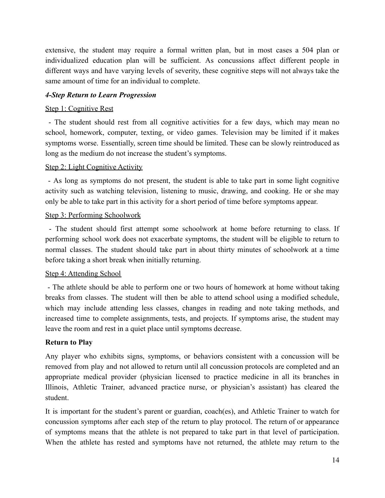extensive, the student may require a formal written plan, but in most cases a 504 plan or individualized education plan will be sufficient. As concussions affect different people in different ways and have varying levels of severity, these cognitive steps will not always take the same amount of time for an individual to complete.

#### *4-Step Return to Learn Progression*

#### Step 1: Cognitive Rest

- The student should rest from all cognitive activities for a few days, which may mean no school, homework, computer, texting, or video games. Television may be limited if it makes symptoms worse. Essentially, screen time should be limited. These can be slowly reintroduced as long as the medium do not increase the student's symptoms.

#### Step 2: Light Cognitive Activity

- As long as symptoms do not present, the student is able to take part in some light cognitive activity such as watching television, listening to music, drawing, and cooking. He or she may only be able to take part in this activity for a short period of time before symptoms appear.

#### Step 3: Performing Schoolwork

- The student should first attempt some schoolwork at home before returning to class. If performing school work does not exacerbate symptoms, the student will be eligible to return to normal classes. The student should take part in about thirty minutes of schoolwork at a time before taking a short break when initially returning.

#### Step 4: Attending School

- The athlete should be able to perform one or two hours of homework at home without taking breaks from classes. The student will then be able to attend school using a modified schedule, which may include attending less classes, changes in reading and note taking methods, and increased time to complete assignments, tests, and projects. If symptoms arise, the student may leave the room and rest in a quiet place until symptoms decrease.

#### **Return to Play**

Any player who exhibits signs, symptoms, or behaviors consistent with a concussion will be removed from play and not allowed to return until all concussion protocols are completed and an appropriate medical provider (physician licensed to practice medicine in all its branches in Illinois, Athletic Trainer, advanced practice nurse, or physician's assistant) has cleared the student.

It is important for the student's parent or guardian, coach(es), and Athletic Trainer to watch for concussion symptoms after each step of the return to play protocol. The return of or appearance of symptoms means that the athlete is not prepared to take part in that level of participation. When the athlete has rested and symptoms have not returned, the athlete may return to the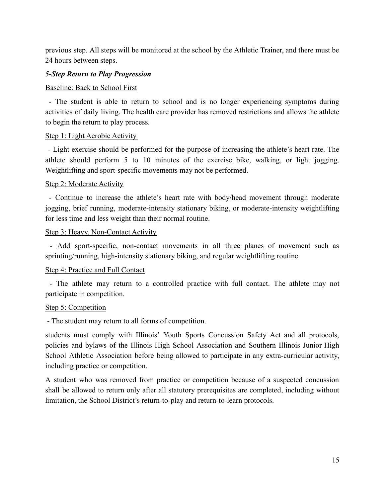previous step. All steps will be monitored at the school by the Athletic Trainer, and there must be 24 hours between steps.

#### *5-Step Return to Play Progression*

#### Baseline: Back to School First

- The student is able to return to school and is no longer experiencing symptoms during activities of daily living. The health care provider has removed restrictions and allows the athlete to begin the return to play process.

#### Step 1: Light Aerobic Activity

- Light exercise should be performed for the purpose of increasing the athlete's heart rate. The athlete should perform 5 to 10 minutes of the exercise bike, walking, or light jogging. Weightlifting and sport-specific movements may not be performed.

#### Step 2: Moderate Activity

- Continue to increase the athlete's heart rate with body/head movement through moderate jogging, brief running, moderate-intensity stationary biking, or moderate-intensity weightlifting for less time and less weight than their normal routine.

#### Step 3: Heavy, Non-Contact Activity

- Add sport-specific, non-contact movements in all three planes of movement such as sprinting/running, high-intensity stationary biking, and regular weightlifting routine.

#### Step 4: Practice and Full Contact

- The athlete may return to a controlled practice with full contact. The athlete may not participate in competition.

#### Step 5: Competition

- The student may return to all forms of competition.

students must comply with Illinois' Youth Sports Concussion Safety Act and all protocols, policies and bylaws of the Illinois High School Association and Southern Illinois Junior High School Athletic Association before being allowed to participate in any extra-curricular activity, including practice or competition.

A student who was removed from practice or competition because of a suspected concussion shall be allowed to return only after all statutory prerequisites are completed, including without limitation, the School District's return-to-play and return-to-learn protocols.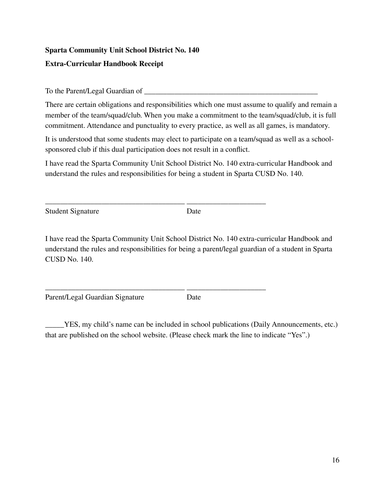## **Sparta Community Unit School District No. 140 Extra-Curricular Handbook Receipt**

To the Parent/Legal Guardian of

There are certain obligations and responsibilities which one must assume to qualify and remain a member of the team/squad/club. When you make a commitment to the team/squad/club, it is full commitment. Attendance and punctuality to every practice, as well as all games, is mandatory.

It is understood that some students may elect to participate on a team/squad as well as a schoolsponsored club if this dual participation does not result in a conflict.

I have read the Sparta Community Unit School District No. 140 extra-curricular Handbook and understand the rules and responsibilities for being a student in Sparta CUSD No. 140.

\_\_\_\_\_\_\_\_\_\_\_\_\_\_\_\_\_\_\_\_\_\_\_\_\_\_\_\_\_\_\_\_\_\_\_\_\_ \_\_\_\_\_\_\_\_\_\_\_\_\_\_\_\_\_\_\_\_\_

\_\_\_\_\_\_\_\_\_\_\_\_\_\_\_\_\_\_\_\_\_\_\_\_\_\_\_\_\_\_\_\_\_\_\_\_\_ \_\_\_\_\_\_\_\_\_\_\_\_\_\_\_\_\_\_\_\_\_

Student Signature Date

I have read the Sparta Community Unit School District No. 140 extra-curricular Handbook and understand the rules and responsibilities for being a parent/legal guardian of a student in Sparta CUSD No. 140.

Parent/Legal Guardian Signature Date

\_\_\_\_\_YES, my child's name can be included in school publications (Daily Announcements, etc.) that are published on the school website. (Please check mark the line to indicate "Yes".)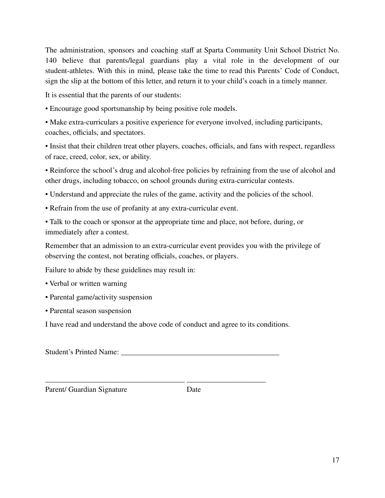The administration, sponsors and coaching staff at Sparta Community Unit School District No. 140 believe that parents/legal guardians play a vital role in the development of our student-athletes. With this in mind, please take the time to read this Parents' Code of Conduct, sign the slip at the bottom of this letter, and return it to your child's coach in a timely manner.

It is essential that the parents of our students:

▪ Encourage good sportsmanship by being positive role models.

▪ Make extra-curriculars a positive experience for everyone involved, including participants, coaches, officials, and spectators.

▪ Insist that their children treat other players, coaches, officials, and fans with respect, regardless of race, creed, color, sex, or ability.

▪ Reinforce the school's drug and alcohol-free policies by refraining from the use of alcohol and other drugs, including tobacco, on school grounds during extra-curricular contests.

- Understand and appreciate the rules of the game, activity and the policies of the school.
- Refrain from the use of profanity at any extra-curricular event.

▪ Talk to the coach or sponsor at the appropriate time and place, not before, during, or immediately after a contest.

Remember that an admission to an extra-curricular event provides you with the privilege of observing the contest, not berating officials, coaches, or players.

Failure to abide by these guidelines may result in:

- Verbal or written warning
- Parental game/activity suspension
- Parental season suspension

I have read and understand the above code of conduct and agree to its conditions.

Student's Printed Name:

\_\_\_\_\_\_\_\_\_\_\_\_\_\_\_\_\_\_\_\_\_\_\_\_\_\_\_\_\_\_\_\_\_\_\_\_\_ \_\_\_\_\_\_\_\_\_\_\_\_\_\_\_\_\_\_\_\_\_

Parent/ Guardian Signature Date